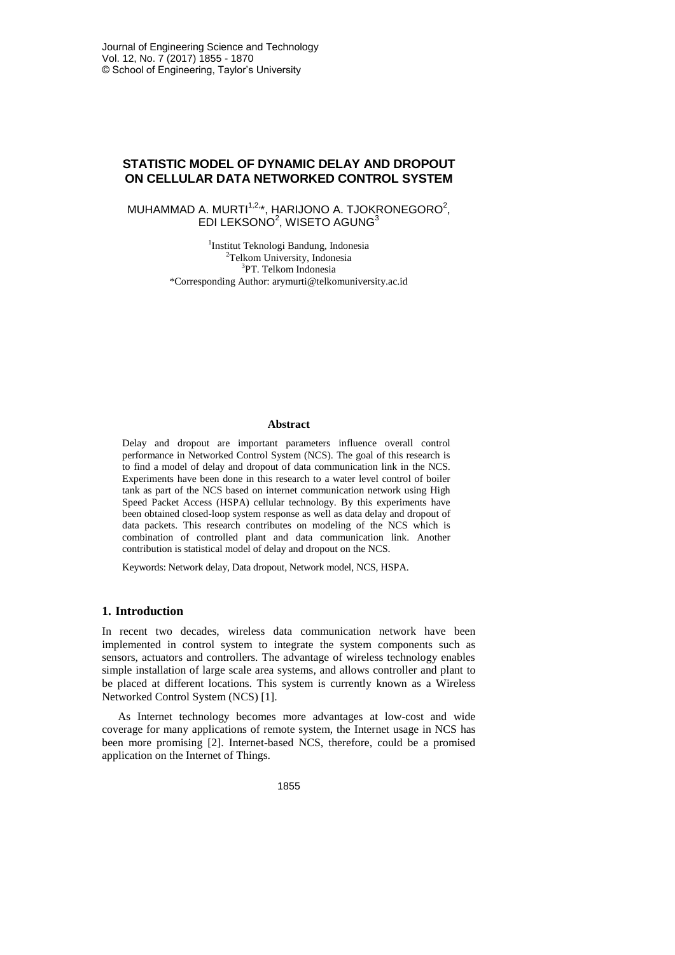# **STATISTIC MODEL OF DYNAMIC DELAY AND DROPOUT ON CELLULAR DATA NETWORKED CONTROL SYSTEM**

## MUHAMMAD A. MURTI $1,2,*}$ , HARIJONO A. TJOKRONEGORO $^2$ , EDI LEKSONO $2$ , WISETO AGUNG $3$

1 Institut Teknologi Bandung, Indonesia <sup>2</sup>Telkom University, Indonesia 3 PT. Telkom Indonesia \*Corresponding Author: arymurti@telkomuniversity.ac.id

#### **Abstract**

Delay and dropout are important parameters influence overall control performance in Networked Control System (NCS). The goal of this research is to find a model of delay and dropout of data communication link in the NCS. Experiments have been done in this research to a water level control of boiler tank as part of the NCS based on internet communication network using High Speed Packet Access (HSPA) cellular technology. By this experiments have been obtained closed-loop system response as well as data delay and dropout of data packets. This research contributes on modeling of the NCS which is combination of controlled plant and data communication link. Another contribution is statistical model of delay and dropout on the NCS.

Keywords: Network delay, Data dropout, Network model, NCS, HSPA.

#### **1. Introduction**

In recent two decades, wireless data communication network have been implemented in control system to integrate the system components such as sensors, actuators and controllers. The advantage of wireless technology enables simple installation of large scale area systems, and allows controller and plant to be placed at different locations. This system is currently known as a Wireless Networked Control System (NCS) [1].

As Internet technology becomes more advantages at low-cost and wide coverage for many applications of remote system, the Internet usage in NCS has been more promising [2]. Internet-based NCS, therefore, could be a promised application on the Internet of Things.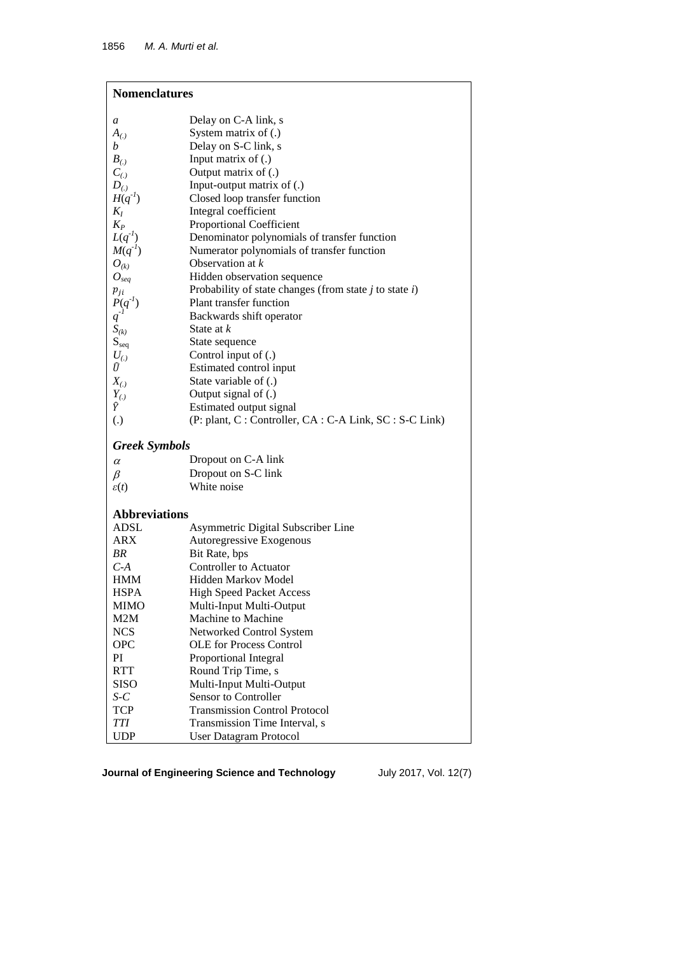| <b>Nomenclatures</b> |                                                             |  |  |
|----------------------|-------------------------------------------------------------|--|--|
| a                    | Delay on C-A link, s                                        |  |  |
| $A_{(.)}$            | System matrix of (.)                                        |  |  |
| b                    | Delay on S-C link, s                                        |  |  |
| $B_{(.)}$            | Input matrix of $(.)$                                       |  |  |
| $C_{(.)}$            | Output matrix of (.)                                        |  |  |
| $D_{(.)}$            | Input-output matrix of (.)                                  |  |  |
| $H(q^{-1})$          | Closed loop transfer function                               |  |  |
| $K_I$                | Integral coefficient                                        |  |  |
| $K_P$                | Proportional Coefficient                                    |  |  |
| $L(q^{-1})$          | Denominator polynomials of transfer function                |  |  |
| $M(q^{-1})$          | Numerator polynomials of transfer function                  |  |  |
| $O_{(k)}$            | Observation at k                                            |  |  |
| $O_{seq}$            | Hidden observation sequence                                 |  |  |
| $p_{ji}$             | Probability of state changes (from state $j$ to state $i$ ) |  |  |
| $P(q^{-1})$          | Plant transfer function                                     |  |  |
| $q^{-l}$             | Backwards shift operator                                    |  |  |
| $S_{(k)}$            | State at k                                                  |  |  |
| $S_{seq}$            | State sequence                                              |  |  |
| $U_{(.)}$            | Control input of (.)                                        |  |  |
| Ū                    | Estimated control input                                     |  |  |
| $X_{(.)}$            | State variable of (.)                                       |  |  |
| $Y_{(.)}$            | Output signal of (.)                                        |  |  |
| Ŷ                    | Estimated output signal                                     |  |  |
| $\left( .\right)$    | (P: plant, C: Controller, CA: C-A Link, SC: S-C Link)       |  |  |
| <b>Greek Symbols</b> |                                                             |  |  |
| $\alpha$             | Dropout on C-A link                                         |  |  |
| β                    | Dropout on S-C link                                         |  |  |
| $\varepsilon(t)$     | White noise                                                 |  |  |
| <b>Abbreviations</b> |                                                             |  |  |
| ADSL                 | Asymmetric Digital Subscriber Line                          |  |  |
| <b>ARX</b>           | Autoregressive Exogenous                                    |  |  |
| BR                   | Bit Rate, bps                                               |  |  |
| $C-A$                | <b>Controller to Actuator</b>                               |  |  |
| <b>HMM</b>           | Hidden Markov Model                                         |  |  |
| <b>HSPA</b>          | <b>High Speed Packet Access</b>                             |  |  |
| MIMO                 | Multi-Input Multi-Output                                    |  |  |
| M2M                  | Machine to Machine                                          |  |  |
| <b>NCS</b>           | Networked Control System                                    |  |  |
| <b>OPC</b>           | <b>OLE</b> for Process Control                              |  |  |
| PI                   | Proportional Integral                                       |  |  |
| <b>RTT</b>           | Round Trip Time, s                                          |  |  |
| SISO                 | Multi-Input Multi-Output                                    |  |  |
| $S-C$                | <b>Sensor to Controller</b>                                 |  |  |
| <b>TCP</b>           | <b>Transmission Control Protocol</b>                        |  |  |
| TП                   | Transmission Time Interval, s                               |  |  |
| <b>UDP</b>           | <b>User Datagram Protocol</b>                               |  |  |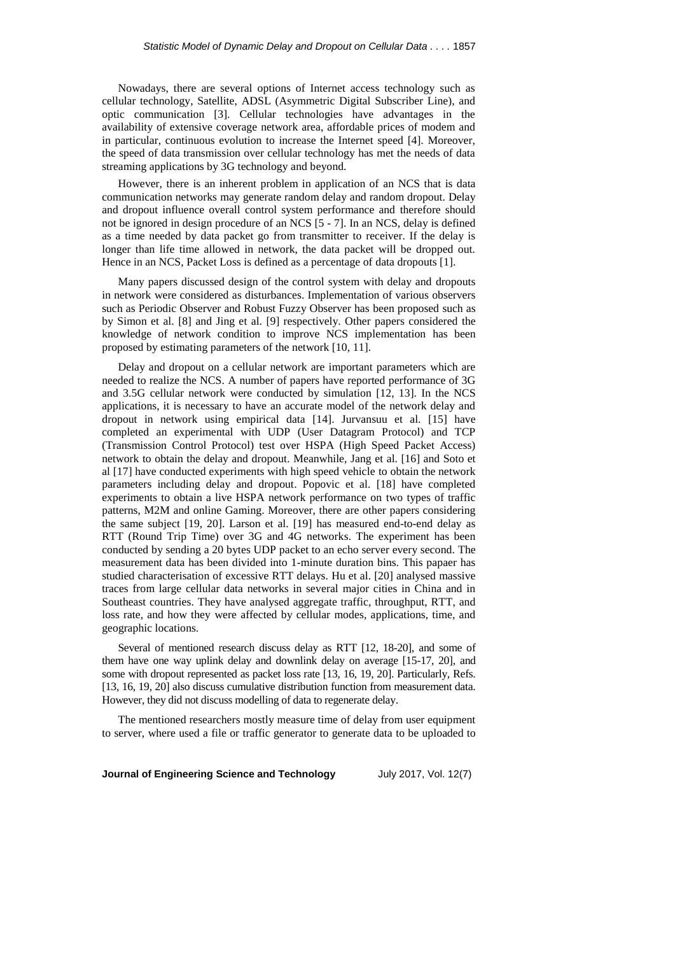Nowadays, there are several options of Internet access technology such as cellular technology, Satellite, ADSL (Asymmetric Digital Subscriber Line), and optic communication [3]. Cellular technologies have advantages in the availability of extensive coverage network area, affordable prices of modem and in particular, continuous evolution to increase the Internet speed [4]. Moreover, the speed of data transmission over cellular technology has met the needs of data streaming applications by 3G technology and beyond.

However, there is an inherent problem in application of an NCS that is data communication networks may generate random delay and random dropout. Delay and dropout influence overall control system performance and therefore should not be ignored in design procedure of an NCS [5 - 7]. In an NCS, delay is defined as a time needed by data packet go from transmitter to receiver. If the delay is longer than life time allowed in network, the data packet will be dropped out. Hence in an NCS, Packet Loss is defined as a percentage of data dropouts [1].

Many papers discussed design of the control system with delay and dropouts in network were considered as disturbances. Implementation of various observers such as Periodic Observer and Robust Fuzzy Observer has been proposed such as by Simon et al. [8] and Jing et al. [9] respectively. Other papers considered the knowledge of network condition to improve NCS implementation has been proposed by estimating parameters of the network [10, 11].

Delay and dropout on a cellular network are important parameters which are needed to realize the NCS. A number of papers have reported performance of 3G and 3.5G cellular network were conducted by simulation [12, 13]. In the NCS applications, it is necessary to have an accurate model of the network delay and dropout in network using empirical data [14]. Jurvansuu et al. [15] have completed an experimental with UDP (User Datagram Protocol) and TCP (Transmission Control Protocol) test over HSPA (High Speed Packet Access) network to obtain the delay and dropout. Meanwhile, Jang et al. [16] and Soto et al [17] have conducted experiments with high speed vehicle to obtain the network parameters including delay and dropout. Popovic et al. [18] have completed experiments to obtain a live HSPA network performance on two types of traffic patterns, M2M and online Gaming. Moreover, there are other papers considering the same subject [19, 20]. Larson et al. [19] has measured end-to-end delay as RTT (Round Trip Time) over 3G and 4G networks. The experiment has been conducted by sending a 20 bytes UDP packet to an echo server every second. The measurement data has been divided into 1-minute duration bins. This papaer has studied characterisation of excessive RTT delays. Hu et al. [20] analysed massive traces from large cellular data networks in several major cities in China and in Southeast countries. They have analysed aggregate traffic, throughput, RTT, and loss rate, and how they were affected by cellular modes, applications, time, and geographic locations.

Several of mentioned research discuss delay as RTT [12, 18-20], and some of them have one way uplink delay and downlink delay on average [15-17, 20], and some with dropout represented as packet loss rate [13, 16, 19, 20]. Particularly, Refs. [13, 16, 19, 20] also discuss cumulative distribution function from measurement data. However, they did not discuss modelling of data to regenerate delay.

The mentioned researchers mostly measure time of delay from user equipment to server, where used a file or traffic generator to generate data to be uploaded to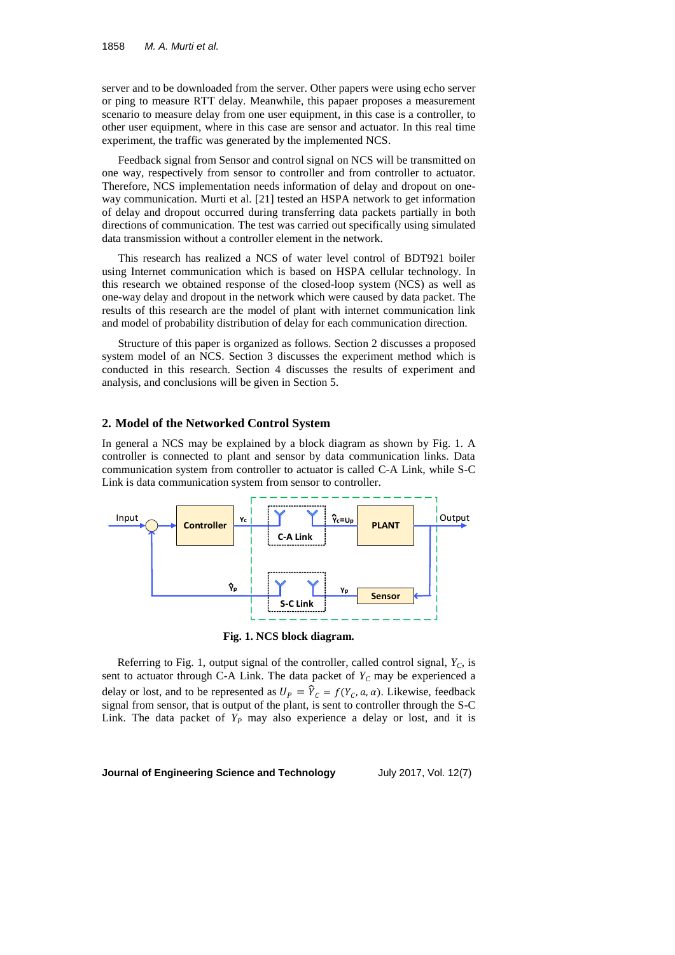server and to be downloaded from the server. Other papers were using echo server or ping to measure RTT delay. Meanwhile, this papaer proposes a measurement scenario to measure delay from one user equipment, in this case is a controller, to other user equipment, where in this case are sensor and actuator. In this real time experiment, the traffic was generated by the implemented NCS.

Feedback signal from Sensor and control signal on NCS will be transmitted on one way, respectively from sensor to controller and from controller to actuator. Therefore, NCS implementation needs information of delay and dropout on oneway communication. Murti et al. [21] tested an HSPA network to get information of delay and dropout occurred during transferring data packets partially in both directions of communication. The test was carried out specifically using simulated data transmission without a controller element in the network.

This research has realized a NCS of water level control of BDT921 boiler using Internet communication which is based on HSPA cellular technology. In this research we obtained response of the closed-loop system (NCS) as well as one-way delay and dropout in the network which were caused by data packet. The results of this research are the model of plant with internet communication link and model of probability distribution of delay for each communication direction.

Structure of this paper is organized as follows. Section 2 discusses a proposed system model of an NCS. Section 3 discusses the experiment method which is conducted in this research. Section 4 discusses the results of experiment and analysis, and conclusions will be given in Section 5.

#### **2. Model of the Networked Control System**

In general a NCS may be explained by a block diagram as shown by Fig. 1. A controller is connected to plant and sensor by data communication links. Data communication system from controller to actuator is called C-A Link, while S-C Link is data communication system from sensor to controller.



**Fig. 1. NCS block diagram.**

Referring to Fig. 1, output signal of the controller, called control signal, *YC*, is sent to actuator through C-A Link. The data packet of  $Y_C$  may be experienced a delay or lost, and to be represented as  $U_p = \hat{Y}_c = f(Y_c, a, \alpha)$ . Likewise, feedback signal from sensor, that is output of the plant, is sent to controller through the S-C Link. The data packet of  $Y_P$  may also experience a delay or lost, and it is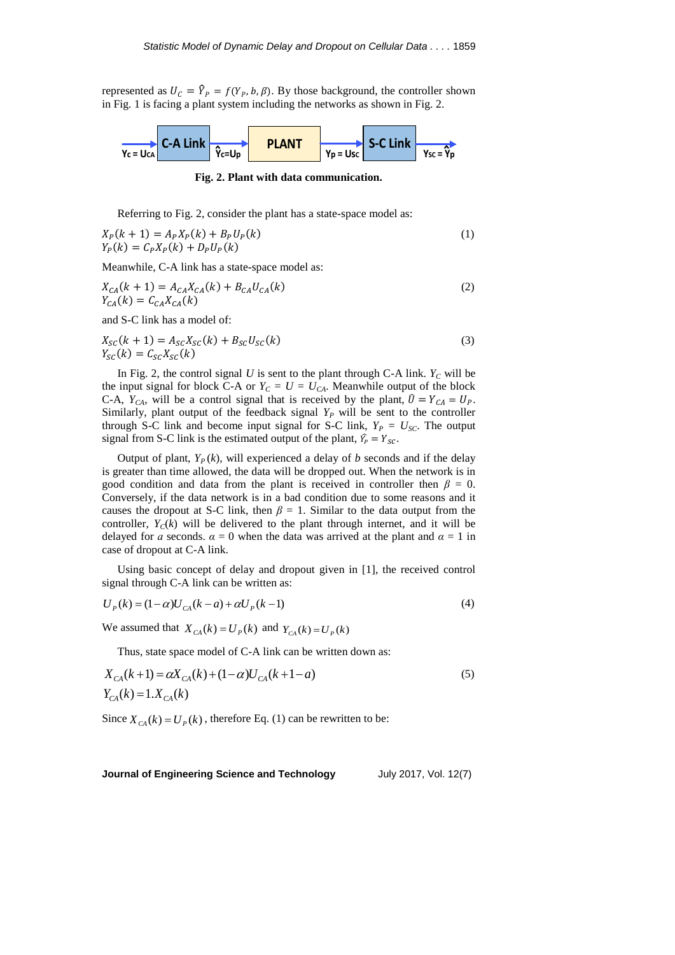represented as  $U_c = \hat{Y}_p = f(Y_p, b, \beta)$ . By those background, the controller shown in Fig. 1 is facing a plant system including the networks as shown in Fig. 2.



**Fig. 2. Plant with data communication.**

Referring to Fig. 2, consider the plant has a state-space model as:

$$
X_P(k + 1) = A_P X_P(k) + B_P U_P(k)
$$
  
\n
$$
Y_P(k) = C_P X_P(k) + D_P U_P(k)
$$
\n(1)

Meanwhile, C-A link has a state-space model as:

$$
X_{CA}(k+1) = A_{CA}X_{CA}(k) + B_{CA}U_{CA}(k)
$$
  
\n
$$
Y_{CA}(k) = C_{CA}X_{CA}(k)
$$
 (2)

and S-C link has a model of:

 $X_{SC}(k + 1) = A_{SC}X_{SC}(k) + B_{SC}U_{SC}(k)$  (3)  $Y_{\rm sc}(k) = C_{\rm sc} X_{\rm sc}(k)$ 

In Fig. 2, the control signal  $U$  is sent to the plant through C-A link.  $Y_C$  will be the input signal for block C-A or  $Y_C = U = U_{CA}$ . Meanwhile output of the block C-A,  $Y_{CA}$ , will be a control signal that is received by the plant,  $\hat{U} = Y_{CA} = U_P$ . Similarly, plant output of the feedback signal  $Y_P$  will be sent to the controller through S-C link and become input signal for S-C link,  $Y_P = U_{SC}$ . The output signal from S-C link is the estimated output of the plant,  $\hat{Y}_P = Y_{SC}$ .

Output of plant,  $Y_P(k)$ , will experienced a delay of *b* seconds and if the delay is greater than time allowed, the data will be dropped out. When the network is in good condition and data from the plant is received in controller then  $\beta = 0$ . Conversely, if the data network is in a bad condition due to some reasons and it causes the dropout at S-C link, then  $\beta = 1$ . Similar to the data output from the controller,  $Y_c(k)$  will be delivered to the plant through internet, and it will be delayed for *a* seconds.  $\alpha = 0$  when the data was arrived at the plant and  $\alpha = 1$  in case of dropout at C-A link.

Using basic concept of delay and dropout given in [1], the received control signal through C-A link can be written as:

$$
U_{P}(k) = (1 - \alpha)U_{CA}(k - a) + \alpha U_{P}(k - 1)
$$
\n(4)

We assumed that  $X_{CA}(k) = U_{P}(k)$  and  $Y_{CA}(k) = U_{P}(k)$ 

Thus, state space model of C-A link can be written down as:

$$
X_{CA}(k+1) = \alpha X_{CA}(k) + (1-\alpha)U_{CA}(k+1-a)
$$
  
\n
$$
Y_{CA}(k) = 1.X_{CA}(k)
$$
 (5)

Since  $X_{CA}(k) = U_P(k)$ , therefore Eq. (1) can be rewritten to be: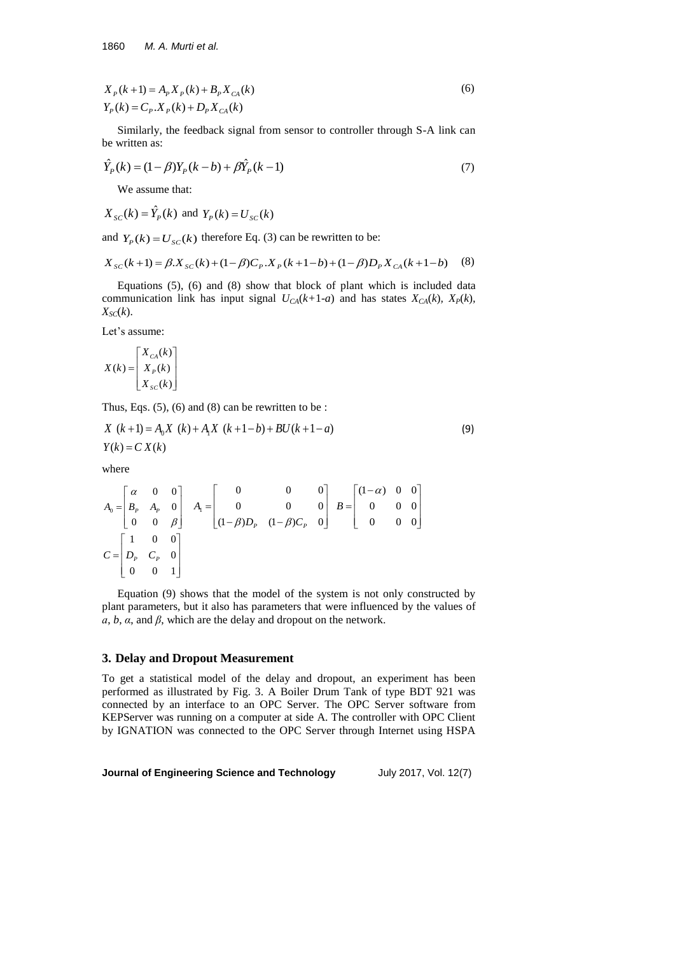$$
X_{P}(k+1) = A_{P}X_{P}(k) + B_{P}X_{CA}(k)
$$
  
\n
$$
Y_{P}(k) = C_{P}X_{P}(k) + D_{P}X_{CA}(k)
$$
\n(6)

Similarly, the feedback signal from sensor to controller through S-A link can be written as:

$$
\hat{Y}_P(k) = (1 - \beta)Y_P(k - b) + \beta \hat{Y}_P(k - 1)
$$
\n(7)

We assume that:

$$
X_{\scriptscriptstyle SC}(k) = \hat{Y}_P(k) \text{ and } Y_P(k) = U_{\scriptscriptstyle SC}(k)
$$

and  $Y_P(k) = U_{SC}(k)$  therefore Eq. (3) can be rewritten to be:

$$
X_{SC}(k+1) = \beta X_{SC}(k) + (1-\beta)C_p.X_p(k+1-b) + (1-\beta)D_pX_{CA}(k+1-b)
$$
 (8)

Equations (5), (6) and (8) show that block of plant which is included data communication link has input signal  $U_{CA}(k+1-a)$  and has states  $X_{CA}(k)$ ,  $X_{P}(k)$ ,  $X_{SC}(k)$ .

Let's assume:

$$
X(k) = \begin{bmatrix} X_{CA}(k) \\ X_{P}(k) \\ X_{SC}(k) \end{bmatrix}
$$

Thus, Eqs.  $(5)$ ,  $(6)$  and  $(8)$  can be rewritten to be :

$$
X (k+1) = A_0 X (k) + A_1 X (k+1-b) + BU(k+1-a)
$$
\n
$$
Y(k) = C X(k)
$$
\n(9)

where

$$
A_0 = \begin{bmatrix} \alpha & 0 & 0 \\ B_P & A_P & 0 \\ 0 & 0 & \beta \end{bmatrix} \quad A_1 = \begin{bmatrix} 0 & 0 & 0 \\ 0 & 0 & 0 \\ (1 - \beta)D_P & (1 - \beta)C_P & 0 \end{bmatrix} \quad B = \begin{bmatrix} (1 - \alpha) & 0 & 0 \\ 0 & 0 & 0 \\ 0 & 0 & 0 \end{bmatrix}
$$

$$
C = \begin{bmatrix} 1 & 0 & 0 \\ D_P & C_P & 0 \\ 0 & 0 & 1 \end{bmatrix}
$$

Equation (9) shows that the model of the system is not only constructed by plant parameters, but it also has parameters that were influenced by the values of *ɑ*, *b*, *α*, and *β*, which are the delay and dropout on the network.

#### **3. Delay and Dropout Measurement**

To get a statistical model of the delay and dropout, an experiment has been performed as illustrated by Fig. 3. A Boiler Drum Tank of type BDT 921 was connected by an interface to an OPC Server. The OPC Server software from KEPServer was running on a computer at side A. The controller with OPC Client by IGNATION was connected to the OPC Server through Internet using HSPA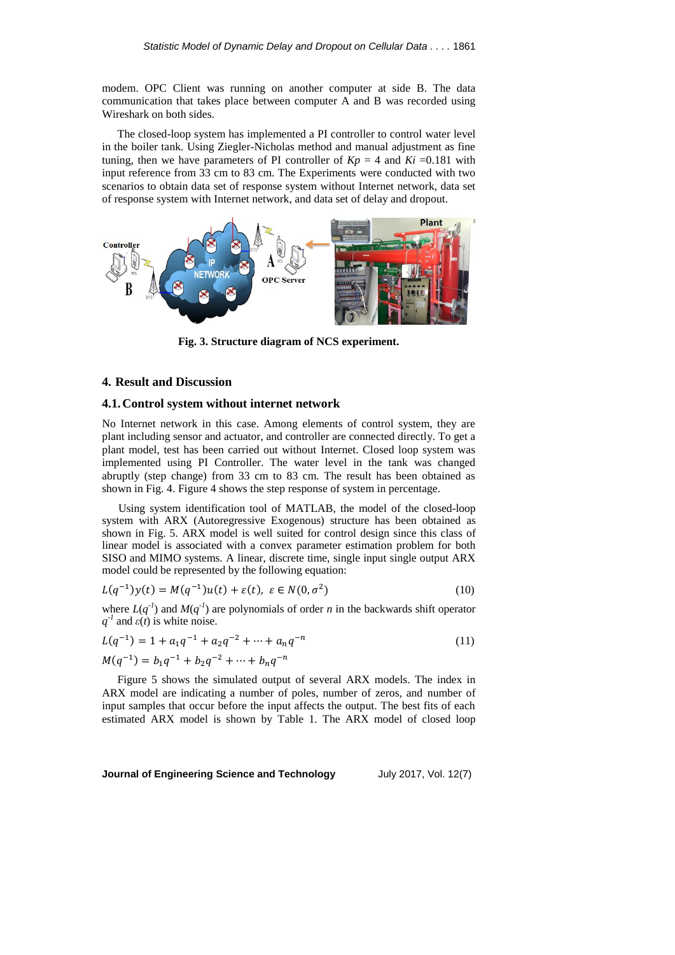modem. OPC Client was running on another computer at side B. The data communication that takes place between computer A and B was recorded using Wireshark on both sides.

The closed-loop system has implemented a PI controller to control water level in the boiler tank. Using Ziegler-Nicholas method and manual adjustment as fine tuning, then we have parameters of PI controller of  $Kp = 4$  and  $Ki = 0.181$  with input reference from 33 cm to 83 cm. The Experiments were conducted with two scenarios to obtain data set of response system without Internet network, data set of response system with Internet network, and data set of delay and dropout.



**Fig. 3. Structure diagram of NCS experiment.**

#### **4. Result and Discussion**

### **4.1.Control system without internet network**

No Internet network in this case. Among elements of control system, they are plant including sensor and actuator, and controller are connected directly. To get a plant model, test has been carried out without Internet. Closed loop system was implemented using PI Controller. The water level in the tank was changed abruptly (step change) from 33 cm to 83 cm. The result has been obtained as shown in Fig. 4. Figure 4 shows the step response of system in percentage.

Using system identification tool of MATLAB, the model of the closed-loop system with ARX (Autoregressive Exogenous) structure has been obtained as shown in Fig. 5. ARX model is well suited for control design since this class of linear model is associated with a convex parameter estimation problem for both SISO and MIMO systems. A linear, discrete time, single input single output ARX model could be represented by the following equation:

$$
L(q^{-1})y(t) = M(q^{-1})u(t) + \varepsilon(t), \ \varepsilon \in N(0, \sigma^2)
$$
\n(10)

where  $L(q^{-1})$  and  $M(q^{-1})$  are polynomials of order *n* in the backwards shift operator  $q^{-1}$  and  $\varepsilon(t)$  is white noise.

$$
L(q^{-1}) = 1 + a_1 q^{-1} + a_2 q^{-2} + \dots + a_n q^{-n}
$$
  
\n
$$
M(q^{-1}) = b_1 q^{-1} + b_2 q^{-2} + \dots + b_n q^{-n}
$$
\n(11)

Figure 5 shows the simulated output of several ARX models. The index in ARX model are indicating a number of poles, number of zeros, and number of input samples that occur before the input affects the output. The best fits of each estimated ARX model is shown by Table 1. The ARX model of closed loop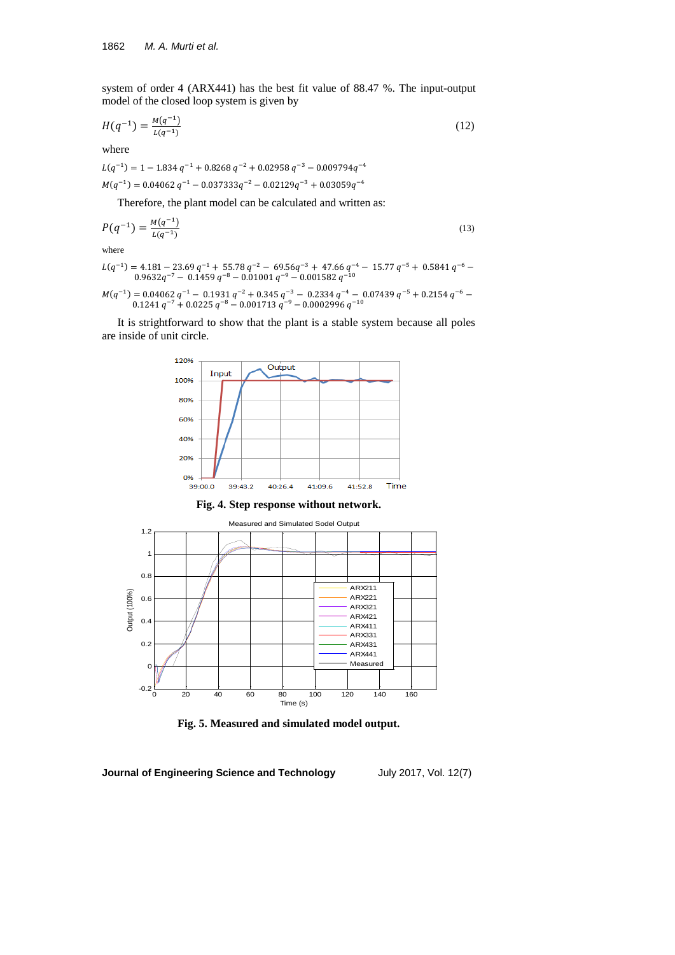system of order 4 (ARX441) has the best fit value of 88.47 %. The input-output model of the closed loop system is given by

$$
H(q^{-1}) = \frac{M(q^{-1})}{L(q^{-1})}
$$
 (12)

where

 $L(q^{-1}) = 1 - 1.834 q^{-1} + 0.8268 q^{-2} + 0.02958 q^{-3} - 0.009794q^{-4}$  $M(q^{-1}) = 0.04062 q^{-1} - 0.037333q^{-2} - 0.02129q^{-3} + 0.03059q^{-4}$ 

Therefore, the plant model can be calculated and written as:

$$
P(q^{-1}) = \frac{M(q^{-1})}{L(q^{-1})}
$$
\n(13)

where

$$
L(q^{-1})
$$
 = 4.181 – 23.69  $q^{-1}$  + 55.78  $q^{-2}$  – 69.56 $q^{-3}$  + 47.66  $q^{-4}$  – 15.77  $q^{-5}$  + 0.5841  $q^{-6}$  – 0.9632 $q^{-7}$  – 0.1459  $q^{-8}$  – 0.01001  $q^{-9}$  – 0.001582  $q^{-10}$ 

$$
M(q^{-1}) = 0.04062 \; q^{-1} - \; 0.1931 \; q^{-2} + \; 0.345 \; q^{-3} - \; 0.2334 \; q^{-4} - \; 0.07439 \; q^{-5} + \; 0.2154 \; q^{-6} - \; 0.1241 \; q^{-7} + \; 0.0225 \; q^{-8} - \; 0.001713 \; q^{-9} - \; 0.0002996 \; q^{-10}
$$

It is strightforward to show that the plant is a stable system because all poles are inside of unit circle.



**Fig. 4. Step response without network.**



**Fig. 5. Measured and simulated model output.**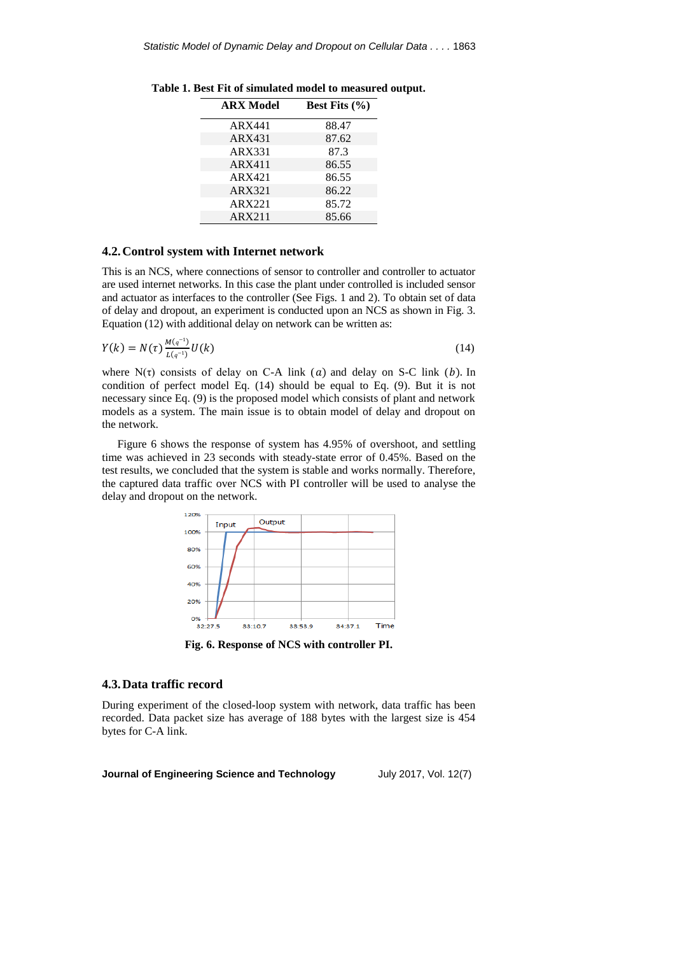| <b>ARX</b> Model | Best Fits $(\% )$ |
|------------------|-------------------|
| ARX441           | 88.47             |
| ARX431           | 87.62             |
| ARX331           | 87.3              |
| ARX411           | 86.55             |
| ARX421           | 86.55             |
| <b>ARX321</b>    | 86.22             |
| ARX221           | 85.72             |
| ARX211           | 85.66             |
|                  |                   |

**Table 1. Best Fit of simulated model to measured output.**

#### **4.2.Control system with Internet network**

This is an NCS, where connections of sensor to controller and controller to actuator are used internet networks. In this case the plant under controlled is included sensor and actuator as interfaces to the controller (See Figs. 1 and 2). To obtain set of data of delay and dropout, an experiment is conducted upon an NCS as shown in Fig. 3. Equation (12) with additional delay on network can be written as:

$$
Y(k) = N(\tau) \frac{M(q^{-1})}{L(q^{-1})} U(k)
$$
\n(14)

where  $N(\tau)$  consists of delay on C-A link (a) and delay on S-C link (b). In condition of perfect model Eq. (14) should be equal to Eq. (9). But it is not necessary since Eq. (9) is the proposed model which consists of plant and network models as a system. The main issue is to obtain model of delay and dropout on the network.

Figure 6 shows the response of system has 4.95% of overshoot, and settling time was achieved in 23 seconds with steady-state error of 0.45%. Based on the test results, we concluded that the system is stable and works normally. Therefore, the captured data traffic over NCS with PI controller will be used to analyse the delay and dropout on the network.



**Fig. 6. Response of NCS with controller PI.**

#### **4.3.Data traffic record**

During experiment of the closed-loop system with network, data traffic has been recorded. Data packet size has average of 188 bytes with the largest size is 454 bytes for C-A link.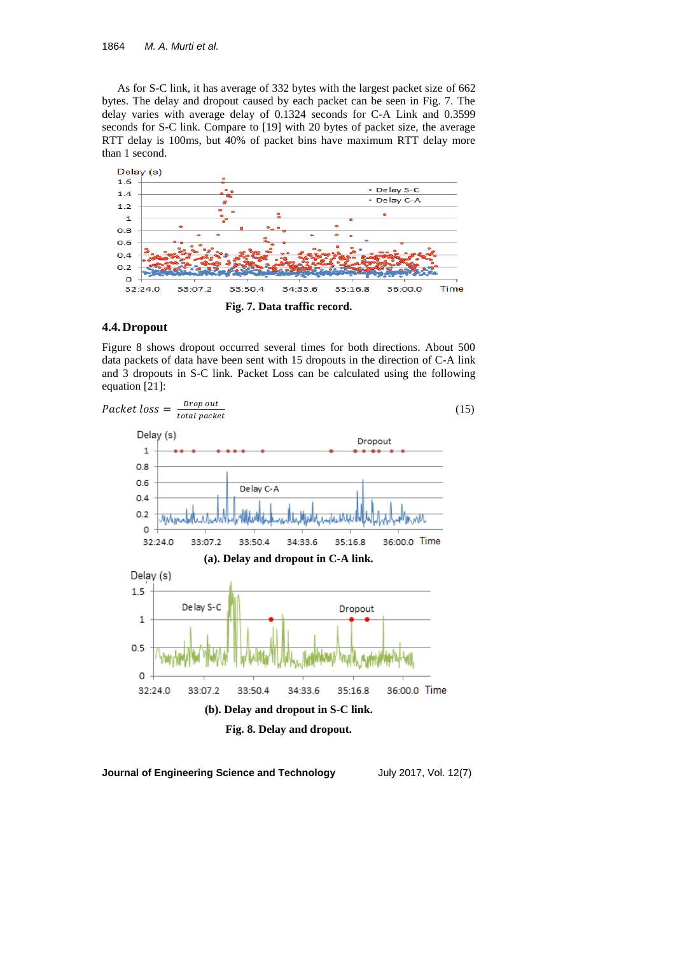As for S-C link, it has average of 332 bytes with the largest packet size of 662 bytes. The delay and dropout caused by each packet can be seen in Fig. 7. The delay varies with average delay of 0.1324 seconds for C-A Link and 0.3599 seconds for S-C link. Compare to [19] with 20 bytes of packet size, the average RTT delay is 100ms, but 40% of packet bins have maximum RTT delay more than 1 second.



## **4.4.Dropout**

Figure 8 shows dropout occurred several times for both directions. About 500 data packets of data have been sent with 15 dropouts in the direction of C-A link and 3 dropouts in S-C link. Packet Loss can be calculated using the following equation [21]:

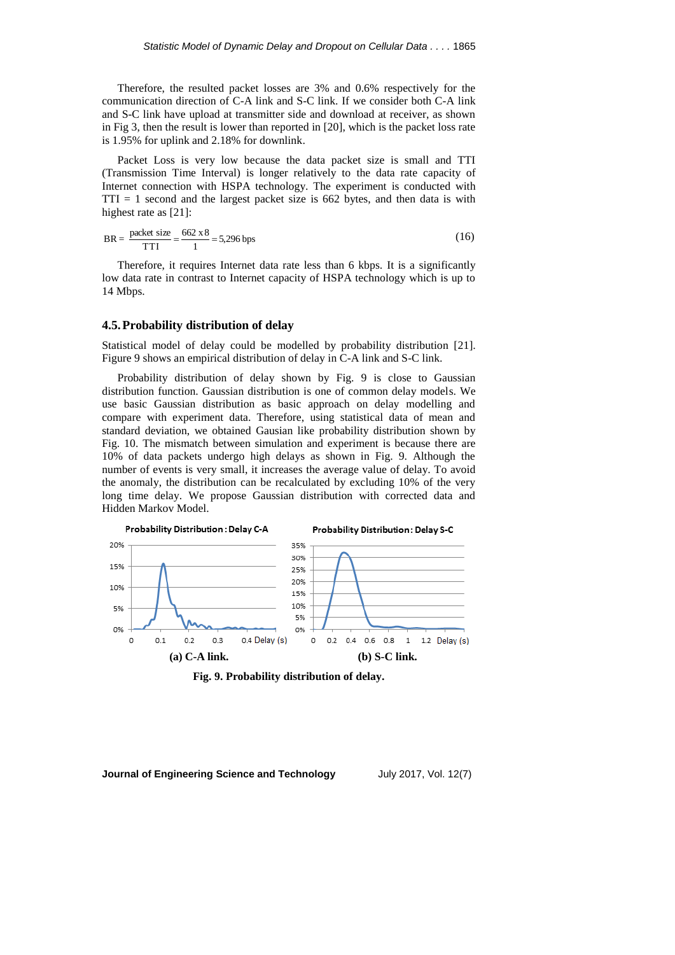Therefore, the resulted packet losses are 3% and 0.6% respectively for the communication direction of C-A link and S-C link. If we consider both C-A link and S-C link have upload at transmitter side and download at receiver, as shown in Fig 3, then the result is lower than reported in [20], which is the packet loss rate is 1.95% for uplink and 2.18% for downlink.

Packet Loss is very low because the data packet size is small and TTI (Transmission Time Interval) is longer relatively to the data rate capacity of Internet connection with HSPA technology. The experiment is conducted with  $TTI = 1$  second and the largest packet size is 662 bytes, and then data is with highest rate as [21]:

$$
BR = \frac{\text{packet size}}{\text{TTI}} = \frac{662 \times 8}{1} = 5,296 \text{ bps}
$$
 (16)

Therefore, it requires Internet data rate less than 6 kbps. It is a significantly low data rate in contrast to Internet capacity of HSPA technology which is up to 14 Mbps.

### **4.5.Probability distribution of delay**

Statistical model of delay could be modelled by probability distribution [21]. Figure 9 shows an empirical distribution of delay in C-A link and S-C link.

Probability distribution of delay shown by Fig. 9 is close to Gaussian distribution function. Gaussian distribution is one of common delay models. We use basic Gaussian distribution as basic approach on delay modelling and compare with experiment data. Therefore, using statistical data of mean and standard deviation, we obtained Gausian like probability distribution shown by Fig. 10. The mismatch between simulation and experiment is because there are 10% of data packets undergo high delays as shown in Fig. 9. Although the number of events is very small, it increases the average value of delay. To avoid the anomaly, the distribution can be recalculated by excluding 10% of the very long time delay. We propose Gaussian distribution with corrected data and Hidden Markov Model.



**Fig. 9. Probability distribution of delay.**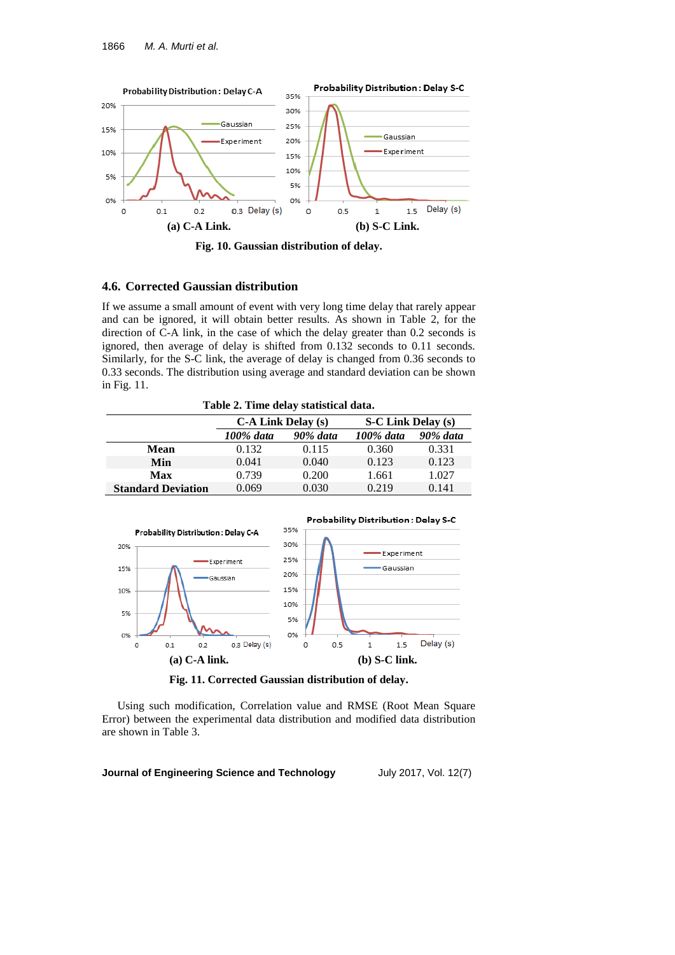

**Fig. 10. Gaussian distribution of delay.**

### **4.6. Corrected Gaussian distribution**

If we assume a small amount of event with very long time delay that rarely appear and can be ignored, it will obtain better results. As shown in Table 2, for the direction of C-A link, in the case of which the delay greater than 0.2 seconds is ignored, then average of delay is shifted from 0.132 seconds to 0.11 seconds. Similarly, for the S-C link, the average of delay is changed from 0.36 seconds to 0.33 seconds. The distribution using average and standard deviation can be shown in Fig. 11.

**Table 2. Time delay statistical data.**

|                           | <b>C-A Link Delay (s)</b> |                 | <b>S-C Link Delay (s)</b> |                 |
|---------------------------|---------------------------|-----------------|---------------------------|-----------------|
|                           | 100% data                 | <b>90% data</b> | $100\%$ data              | <b>90% data</b> |
| Mean                      | 0.132                     | 0.115           | 0.360                     | 0.331           |
| Min                       | 0.041                     | 0.040           | 0.123                     | 0.123           |
| Max                       | 0.739                     | 0.200           | 1.661                     | 1.027           |
| <b>Standard Deviation</b> | 0.069                     | 0.030           | 0.219                     | 0.141           |



**Fig. 11. Corrected Gaussian distribution of delay.**

Using such modification, Correlation value and RMSE (Root Mean Square Error) between the experimental data distribution and modified data distribution are shown in Table 3.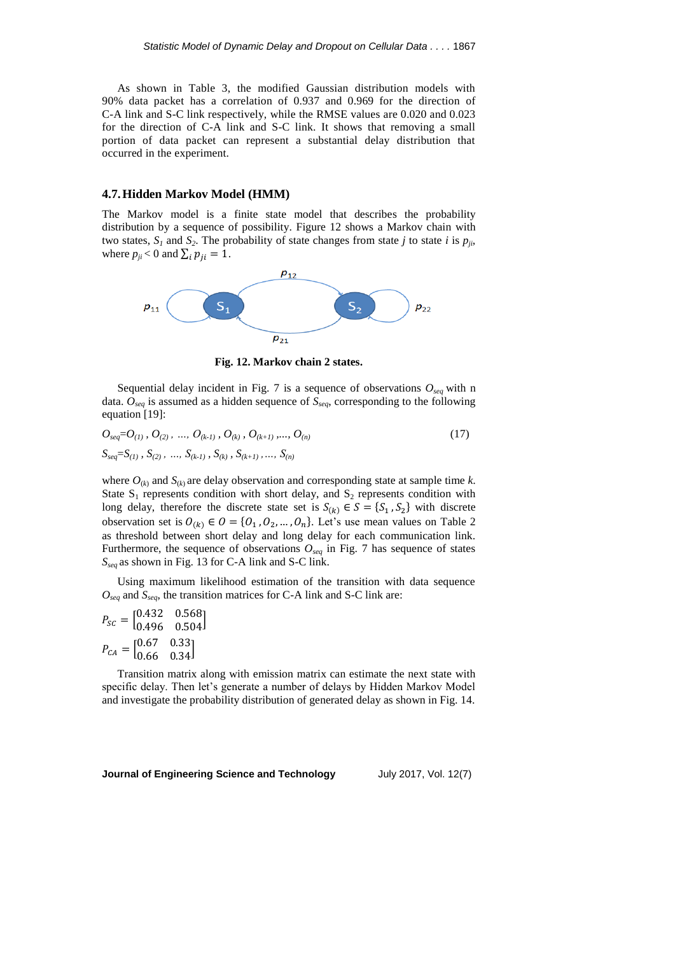As shown in Table 3, the modified Gaussian distribution models with 90% data packet has a correlation of 0.937 and 0.969 for the direction of C-A link and S-C link respectively, while the RMSE values are 0.020 and 0.023 for the direction of C-A link and S-C link. It shows that removing a small portion of data packet can represent a substantial delay distribution that occurred in the experiment.

#### **4.7.Hidden Markov Model (HMM)**

The Markov model is a finite state model that describes the probability distribution by a sequence of possibility. Figure 12 shows a Markov chain with two states,  $S_I$  and  $S_2$ . The probability of state changes from state *j* to state *i* is  $p_{ji}$ , where  $p_{ji}$  < 0 and  $\sum_i p_{ji} = 1$ .



**Fig. 12. Markov chain 2 states.**

Sequential delay incident in Fig. 7 is a sequence of observations  $O_{seq}$  with n data. *Oseq* is assumed as a hidden sequence of *Sseq*, corresponding to the following equation [19]:

$$
O_{seq} = O_{(1)}, O_{(2)}, ..., O_{(k-1)}, O_{(k)}, O_{(k+1)}, ..., O_{(n)}
$$
\n
$$
S_{seq} = S_{(1)}, S_{(2)}, ..., S_{(k-1)}, S_{(k)}, S_{(k+1)}, ..., S_{(n)}
$$
\n(17)

where  $O_{(k)}$  and  $S_{(k)}$  are delay observation and corresponding state at sample time *k*. State  $S_1$  represents condition with short delay, and  $S_2$  represents condition with long delay, therefore the discrete state set is  $S_{(k)} \in S = \{S_1, S_2\}$  with discrete observation set is  $O_{(k)} \in O = \{O_1, O_2, ..., O_n\}$ . Let's use mean values on Table 2 as threshold between short delay and long delay for each communication link. Furthermore, the sequence of observations  $O_{seq}$  in Fig. 7 has sequence of states *Sseq* as shown in Fig. 13 for C-A link and S-C link.

Using maximum likelihood estimation of the transition with data sequence *Oseq* and *Sseq*, the transition matrices for C-A link and S-C link are:

|                                                                     | $P_{SC} = \begin{bmatrix} 0.432 & 0.568 \\ 0.496 & 0.504 \end{bmatrix}$ |  |
|---------------------------------------------------------------------|-------------------------------------------------------------------------|--|
| $P_{CA} = \begin{bmatrix} 0.67 & 0.33 \\ 0.66 & 0.34 \end{bmatrix}$ |                                                                         |  |
|                                                                     |                                                                         |  |

Transition matrix along with emission matrix can estimate the next state with specific delay. Then let's generate a number of delays by Hidden Markov Model and investigate the probability distribution of generated delay as shown in Fig. 14.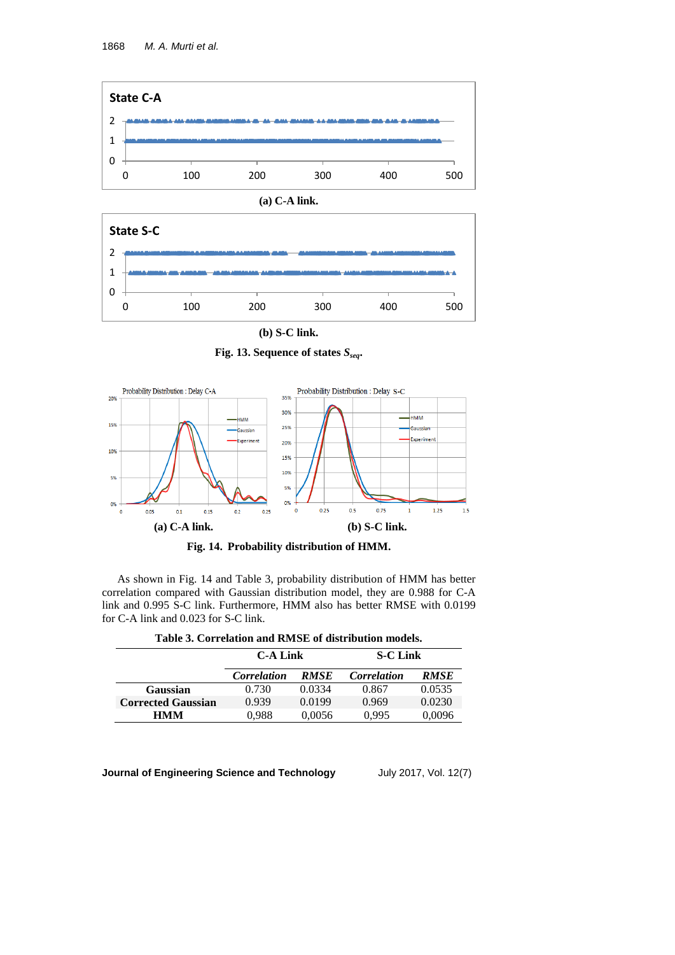

**(a) C-A link.**



**(b) S-C link.**

**Fig. 13. Sequence of states** *Sseq***.**





As shown in Fig. 14 and Table 3, probability distribution of HMM has better correlation compared with Gaussian distribution model, they are 0.988 for C-A link and 0.995 S-C link. Furthermore, HMM also has better RMSE with 0.0199 for C-A link and 0.023 for S-C link.

|                           | <b>C-A Link</b>    |                    | <b>S-C Link</b>    |             |
|---------------------------|--------------------|--------------------|--------------------|-------------|
|                           | <b>Correlation</b> | <i><b>RMSE</b></i> | <b>Correlation</b> | <b>RMSE</b> |
| Gaussian                  | 0.730              | 0.0334             | 0.867              | 0.0535      |
| <b>Corrected Gaussian</b> | 0.939              | 0.0199             | 0.969              | 0.0230      |
| <b>HMM</b>                | 0.988              | 0.0056             | 0.995              | 0,0096      |

**Table 3. Correlation and RMSE of distribution models.**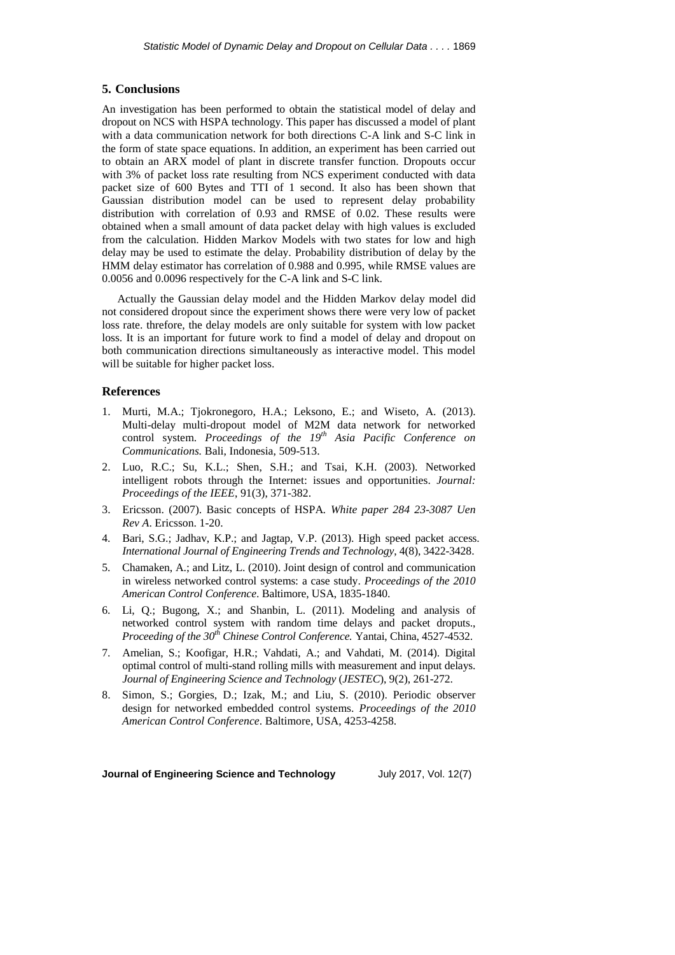#### **5. Conclusions**

An investigation has been performed to obtain the statistical model of delay and dropout on NCS with HSPA technology. This paper has discussed a model of plant with a data communication network for both directions C-A link and S-C link in the form of state space equations. In addition, an experiment has been carried out to obtain an ARX model of plant in discrete transfer function. Dropouts occur with 3% of packet loss rate resulting from NCS experiment conducted with data packet size of 600 Bytes and TTI of 1 second. It also has been shown that Gaussian distribution model can be used to represent delay probability distribution with correlation of 0.93 and RMSE of 0.02. These results were obtained when a small amount of data packet delay with high values is excluded from the calculation. Hidden Markov Models with two states for low and high delay may be used to estimate the delay. Probability distribution of delay by the HMM delay estimator has correlation of 0.988 and 0.995, while RMSE values are 0.0056 and 0.0096 respectively for the C-A link and S-C link.

Actually the Gaussian delay model and the Hidden Markov delay model did not considered dropout since the experiment shows there were very low of packet loss rate. threfore, the delay models are only suitable for system with low packet loss. It is an important for future work to find a model of delay and dropout on both communication directions simultaneously as interactive model. This model will be suitable for higher packet loss.

#### **References**

- 1. Murti, M.A.; Tjokronegoro, H.A.; Leksono, E.; and Wiseto, A. (2013). Multi-delay multi-dropout model of M2M data network for networked control system. *Proceedings of the 19th Asia Pacific Conference on Communications.* Bali, Indonesia, 509-513.
- 2. Luo, R.C.; Su, K.L.; Shen, S.H.; and Tsai, K.H. (2003). Networked intelligent robots through the Internet: issues and opportunities. *Journal: Proceedings of the IEEE*, 91(3), 371-382.
- 3. Ericsson. (2007). Basic concepts of HSPA*. White paper 284 23-3087 Uen Rev A*. Ericsson. 1-20.
- 4. Bari, S.G.; Jadhav, K.P.; and Jagtap, V.P. (2013). High speed packet access. *International Journal of Engineering Trends and Technology*, 4(8), 3422-3428.
- 5. Chamaken, A.; and Litz, L. (2010). Joint design of control and communication in wireless networked control systems: a case study. *Proceedings of the 2010 American Control Conference*. Baltimore, USA, 1835-1840.
- 6. Li, Q.; Bugong, X.; and Shanbin, L. (2011). Modeling and analysis of networked control system with random time delays and packet droputs., *Proceeding of the 30th Chinese Control Conference.* Yantai, China, 4527-4532.
- 7. Amelian, S.; Koofigar, H.R.; Vahdati, A.; and Vahdati, M. (2014). Digital optimal control of multi-stand rolling mills with measurement and input delays. *Journal of Engineering Science and Technology* (*JESTEC*), 9(2), 261-272.
- 8. Simon, S.; Gorgies, D.; Izak, M.; and Liu, S. (2010). Periodic observer design for networked embedded control systems. *Proceedings of the 2010 American Control Conference*. Baltimore, USA, 4253-4258.